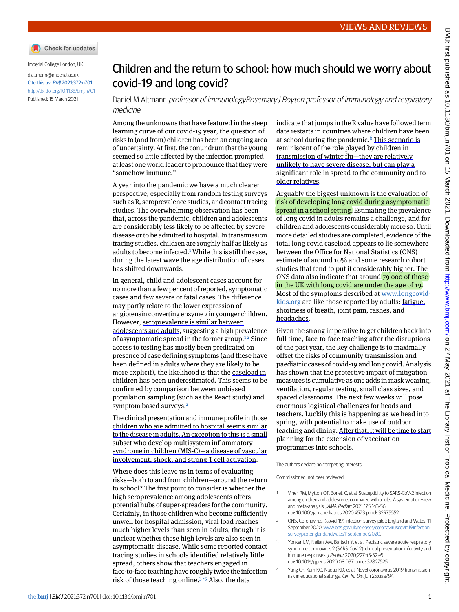Check for updates

Imperial College London, UK

```
d.altmann@imperial.ac.uk
Cite this as: BMJ 2021;372:n701
http://dx.doi.org/10.1136/bmj.n701
Published: 15 March 2021
```
## Children and the return to school: how much should we worry about covid-19 and long covid?

Daniel M Altmann professor of immunologyRosemary J Boyton professor of immunology and respiratory medicine

Among the unknowns that have featured in the steep learning curve of our covid-19 year, the question of risks to (and from) children has been an ongoing area of uncertainty. At first, the conundrum that the young seemed so little affected by the infection prompted at least one world leader to pronounce that they were "somehow immune."

A year into the pandemic we have a much clearer perspective, especially from random testing surveys such as R, seroprevalence studies, and contact tracing studies. The overwhelming observation has been that, across the pandemic, children and adolescents are considerably less likely to be affected by severe disease or to be admitted to hospital. In transmission tracing studies, children are roughly half as likely as adults to become infected.<sup>[1](#page-0-0)</sup> While this is still the case, during the latest wave the age distribution of cases has shifted downwards.

In general, child and adolescent cases account for no more than a few per cent of reported, symptomatic cases and few severe or fatal cases. The difference may partly relate to the lower expression of angiotensin converting enzyme 2 in younger children. However, seroprevalence is similar between adolescents and adults, suggesting a high prevalence of asymptomatic spread in the former group.<sup>[1](#page-0-0)2</sup> Since access to testing has mostly been predicated on presence of case defining symptoms (and these have been defined in adults where they are likely to be more explicit), the likelihood is that the caseload in children has been underestimated. This seems to be confirmed by comparison between unbiased population sampling (such as the React study) and symptom based surveys.<sup>[2](#page-0-1)</sup>

The clinical presentation and immune profile in those children who are admitted to hospital seems similar to the disease in adults. An exception to this is a small subset who develop multisystem inflammatory syndrome in children (MIS-C)—a disease of vascular involvement, shock, and strong T cell activation.

Where does this leave us in terms of evaluating risks—both to and from children—around the return to school? The first point to consider is whether the high seroprevalence among adolescents offers potential hubs of super-spreaders for the community. Certainly, in those children who become sufficiently unwell for hospital admission, viral load reaches much higher levels than seen in adults, though it is unclear whether these high levels are also seen in asymptomatic disease. While some reported contact tracing studies in schools identified relatively little spread, others show that teachers engaged in face-to-face teaching have roughly twice the infection risk of those teaching online.[3](#page-0-2) [-](#page-0-3)[5](#page-1-0) Also, the data

indicate that jumps in the R value have followed term date restarts in countries where children have been at school during the pandemic.<sup>[6](#page-1-1)</sup> This scenario is reminiscent of the role played by children in transmission of winter flu—they are relatively unlikely to have severe disease, but can play a significant role in spread to the community and to older relatives.

Arguably the biggest unknown is the evaluation of risk of developing long covid during asymptomatic spread in a school setting. Estimating the prevalence of long covid in adults remains a challenge, and for children and adolescents considerably more so. Until more detailed studies are completed, evidence of the total long covid caseload appears to lie somewhere between the Office for National Statistics (ONS) estimate of around 10% and some research cohort studies that tend to put it considerably higher. The ONS data also indicate that around 79 000 of those in the UK with long covid are under the age of 19. Most of the symptoms described at [www.longcovid](http://www.longcovidkids.org)[kids.org](http://www.longcovidkids.org) are like those reported by adults: fatigue, shortness of breath, joint pain, rashes, and headaches.

Given the strong imperative to get children back into full time, face-to-face teaching after the disruptions of the past year, the key challenge is to maximally offset the risks of community transmission and paediatric cases of covid-19 and long covid. Analysis has shown that the protective impact of mitigation measures is cumulative as one adds in mask wearing, ventilation, regular testing, small class sizes, and spaced classrooms. The next few weeks will pose enormous logistical challenges for heads and teachers. Luckily this is happening as we head into spring, with potential to make use of outdoor teaching and dining. After that, it will be time to start planning for the extension of vaccination programmes into schools.

<span id="page-0-1"></span><span id="page-0-0"></span>The authors declare no competing interests

<span id="page-0-2"></span>Commissioned, not peer reviewed

- Viner RM, Mytton OT, Bonell C, et al. Susceptibility to SARS-CoV-2 infection among children and adolescents compared with adults. A systematic review and meta-analysis. JAMA Pediatr 2021;175:143-56. doi: 10.1001/jamapediatrics.2020.4573 pmid: 32975552
- <span id="page-0-3"></span>2 ONS. Coronavirus: (covid-19) infection survey pilot: England and Wales. 11 September 2020. [www.ons.gov.uk/releases/coronaviruscovid19infection](http://www.ons.gov.uk/releases/coronaviruscovid19infectionsurveypilotenglandandwales11september2020)[surveypilotenglandandwales11september2020](http://www.ons.gov.uk/releases/coronaviruscovid19infectionsurveypilotenglandandwales11september2020).
- 3 Yonker LM, Neilan AM, Bartsch Y, et al. Pediatric severe acute respiratory syndrome coronavirus 2 (SARS-CoV-2): clinical presentation infectivity and immune responses. J Pediatr 2020;227:45-52.e5. doi: 10.1016/j.jpeds.2020.08.037 pmid: 32827525
- Yung CF, Kam KQ, Nadua KD, et al. Novel coronavirus 2019 transmission risk in educational settings. Clin Inf Dis. Jun 25;ciaa794.